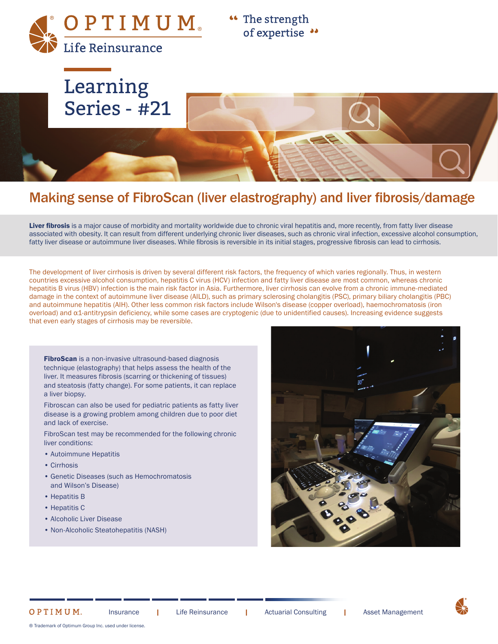OPTIMUM® Life Reinsurance

<sup>44</sup> The strength of expertise ••



# Making sense of FibroScan (liver elastrography) and liver fibrosis/damage

Liver fibrosis is a major cause of morbidity and mortality worldwide due to chronic viral hepatitis and, more recently, from fatty liver disease associated with obesity. It can result from different underlying chronic liver diseases, such as chronic viral infection, excessive alcohol consumption, fatty liver disease or autoimmune liver diseases. While fibrosis is reversible in its initial stages, progressive fibrosis can lead to cirrhosis.

The development of liver cirrhosis is driven by several different risk factors, the frequency of which varies regionally. Thus, in western countries excessive alcohol consumption, hepatitis C virus (HCV) infection and fatty liver disease are most common, whereas chronic hepatitis B virus (HBV) infection is the main risk factor in Asia. Furthermore, liver cirrhosis can evolve from a chronic immune-mediated damage in the context of autoimmune liver disease (AILD), such as primary sclerosing cholangitis (PSC), primary biliary cholangitis (PBC) and autoimmune hepatitis (AIH). Other less common risk factors include Wilson's disease (copper overload), haemochromatosis (iron overload) and α1-antitrypsin deficiency, while some cases are cryptogenic (due to unidentified causes). Increasing evidence suggests that even early stages of cirrhosis may be reversible.

FibroScan is a non-invasive ultrasound-based diagnosis technique (elastography) that helps assess the health of the liver. It measures fibrosis (scarring or thickening of tissues) and steatosis (fatty change). For some patients, it can replace a liver biopsy.

Fibroscan can also be used for pediatric patients as fatty liver disease is a growing problem among children due to poor diet and lack of exercise.

FibroScan test may be recommended for the following chronic liver conditions:

- Autoimmune Hepatitis
- Cirrhosis
- Genetic Diseases (such as Hemochromatosis and Wilson's Disease)
- Hepatitis B
- Hepatitis C

OPTIMUM.

- Alcoholic Liver Disease
- Non-Alcoholic Steatohepatitis (NASH)



® Trademark of Optimum Group Inc. used under license.